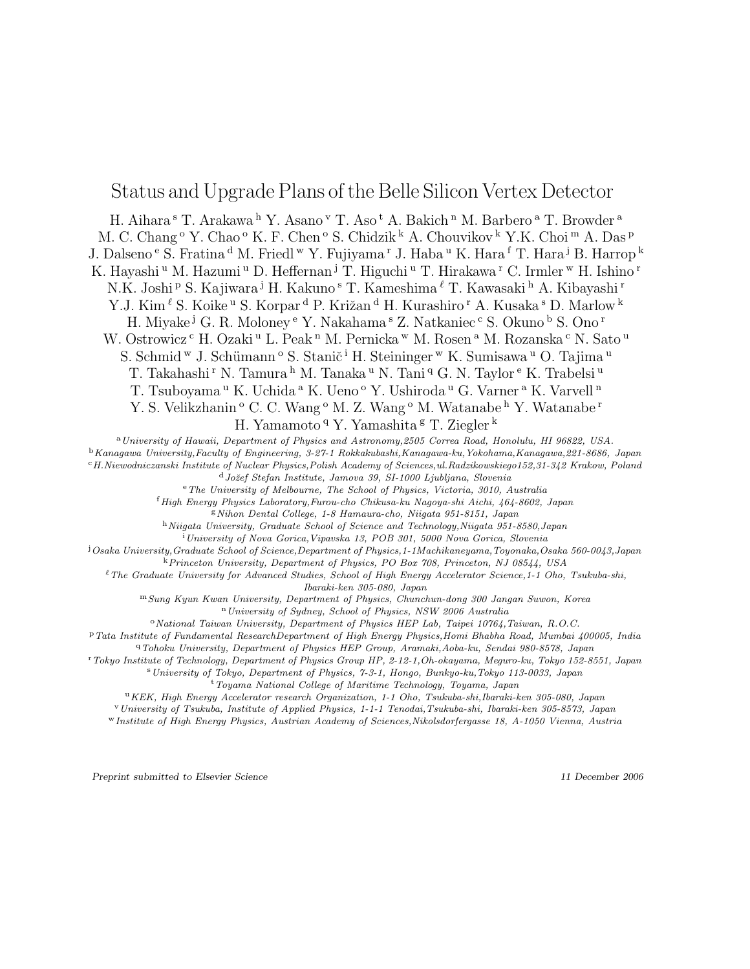# Status and Upgrade Plans of the Belle Silicon Vertex Detector

H. Aihara<sup>s</sup> T. Arakawa<sup>h</sup> Y. Asano<sup>v</sup> T. Aso<sup>t</sup> A. Bakich<sup>n</sup> M. Barbero<sup>a</sup> T. Browder<sup>a</sup> M. C. Chang  $\rm ^o$  Y. Chao  $\rm ^o$  K. F. Chen  $\rm ^o$  S. Chidzik  $\rm ^k$  A. Chouvikov  $\rm ^k$  Y.K. Choi  $\rm ^m$  A. Das  $\rm ^p$ J. Dalseno<sup>e</sup> S. Fratina<sup>d</sup> M. Friedl<sup>w</sup> Y. Fujiyama<sup>r</sup> J. Haba<sup>u</sup> K. Hara<sup>f</sup> T. Hara<sup>j</sup> B. Harrop<sup>k</sup> K. Hayashi <sup>u</sup> M. Hazumi <sup>u</sup> D. Heffernan <sup>j</sup> T. Higuchi <sup>u</sup> T. Hirakawa <sup>r</sup> C. Irmler <sup>w</sup> H. Ishino <sup>r</sup> N.K. Joshi P S. Kajiwara <sup>j</sup> H. Kakuno <sup>s</sup> T. Kameshima  $\ell$  T. Kawasaki <sup>h</sup> A. Kibayashi <sup>r</sup> Y.J. Kim  $\ell$  S. Koike <sup>u</sup> S. Korpar <sup>d</sup> P. Križan <sup>d</sup> H. Kurashiro <sup>r</sup> A. Kusaka <sup>s</sup> D. Marlow <sup>k</sup> H. Miyake <sup>j</sup> G. R. Moloney <sup>e</sup> Y. Nakahama <sup>s</sup> Z. Natkaniec <sup>c</sup> S. Okuno <sup>b</sup> S. Ono <sup>r</sup> W. Ostrowicz <sup>c</sup> H. Ozaki <sup>u</sup> L. Peak <sup>n</sup> M. Pernicka <sup>w</sup> M. Rosen <sup>a</sup> M. Rozanska <sup>c</sup> N. Sato <sup>u</sup> S. Schmid <sup>w</sup> J. Schümann <sup>o</sup> S. Stanič <sup>i</sup> H. Steininger <sup>w</sup> K. Sumisawa <sup>u</sup> O. Tajima <sup>u</sup> T. Takahashi <sup>r</sup> N. Tamura <sup>h</sup> M. Tanaka <sup>u</sup> N. Tani <sup>q</sup> G. N. Taylor <sup>e</sup> K. Trabelsi <sup>u</sup> T. Tsuboyama <sup>u</sup> K. Uchida <sup>a</sup> K. Ueno <sup>o</sup> Y. Ushiroda <sup>u</sup> G. Varner <sup>a</sup> K. Varvell <sup>n</sup> Y. S. Velikzhanin<sup>o</sup> C. C. Wang<sup>o</sup> M. Z. Wang<sup>o</sup> M. Watanabe<sup>h</sup> Y. Watanabe<sup>r</sup>

H. Yamamoto <sup>q</sup> Y. Yamashita <sup>g</sup> T. Ziegler <sup>k</sup>

<sup>a</sup>University of Hawaii, Department of Physics and Astronomy, 2505 Correa Road, Honolulu, HI 96822, USA.

<sup>b</sup>Kanagawa University,Faculty of Engineering, 3-27-1 Rokkakubashi,Kanagawa-ku,Yokohama,Kanagawa,221-8686, Japan

<sup>c</sup>H.Niewodniczanski Institute of Nuclear Physics,Polish Academy of Sciences,ul.Radzikowskiego152,31-342 Krakow, Poland <sup>d</sup> Jožef Stefan Institute, Jamova 39, SI-1000 Ljubljana, Slovenia

<sup>e</sup>The University of Melbourne, The School of Physics, Victoria, 3010, Australia

<sup>f</sup>High Energy Physics Laboratory,Furou-cho Chikusa-ku Nagoya-shi Aichi, 464-8602, Japan

<sup>g</sup>Nihon Dental College, 1-8 Hamaura-cho, Niigata 951-8151, Japan

h Niigata University, Graduate School of Science and Technology, Niigata 951-8580, Japan

<sup>i</sup>University of Nova Gorica, Vipavska 13, POB 301, 5000 Nova Gorica, Slovenia

<sup>j</sup>Osaka University,Graduate School of Science,Department of Physics,1-1Machikaneyama,Toyonaka,Osaka 560-0043,Japan

<sup>k</sup>Princeton University, Department of Physics, PO Box 708, Princeton, NJ 08544, USA

 ${}^{\ell}$ The Graduate University for Advanced Studies, School of High Energy Accelerator Science,1-1 Oho, Tsukuba-shi, Ibaraki-ken 305-080, Japan

<sup>m</sup>Sung Kyun Kwan University, Department of Physics, Chunchun-dong 300 Jangan Suwon, Korea

<sup>n</sup>University of Sydney, School of Physics, NSW 2006 Australia

 $\alpha$ <sup>o</sup>National Taiwan University, Department of Physics HEP Lab, Taipei 10764, Taiwan, R.O.C.

<sup>p</sup>Tata Institute of Fundamental ResearchDepartment of High Energy Physics,Homi Bhabha Road, Mumbai 400005, India

<sup>q</sup>Tohoku University, Department of Physics HEP Group, Aramaki,Aoba-ku, Sendai 980-8578, Japan

<sup>r</sup>Tokyo Institute of Technology, Department of Physics Group HP, 2-12-1,Oh-okayama, Meguro-ku, Tokyo 152-8551, Japan

<sup>s</sup>University of Tokyo, Department of Physics, 7-3-1, Hongo, Bunkyo-ku,Tokyo 113-0033, Japan

 $t$ Toyama National College of Maritime Technology, Toyama, Japan

<sup>u</sup>KEK, High Energy Accelerator research Organization, 1-1 Oho, Tsukuba-shi,Ibaraki-ken 305-080, Japan

<sup>v</sup>University of Tsukuba, Institute of Applied Physics, 1-1-1 Tenodai,Tsukuba-shi, Ibaraki-ken 305-8573, Japan

<sup>w</sup>Institute of High Energy Physics, Austrian Academy of Sciences,Nikolsdorfergasse 18, A-1050 Vienna, Austria

Preprint submitted to Elsevier Science 11 December 2006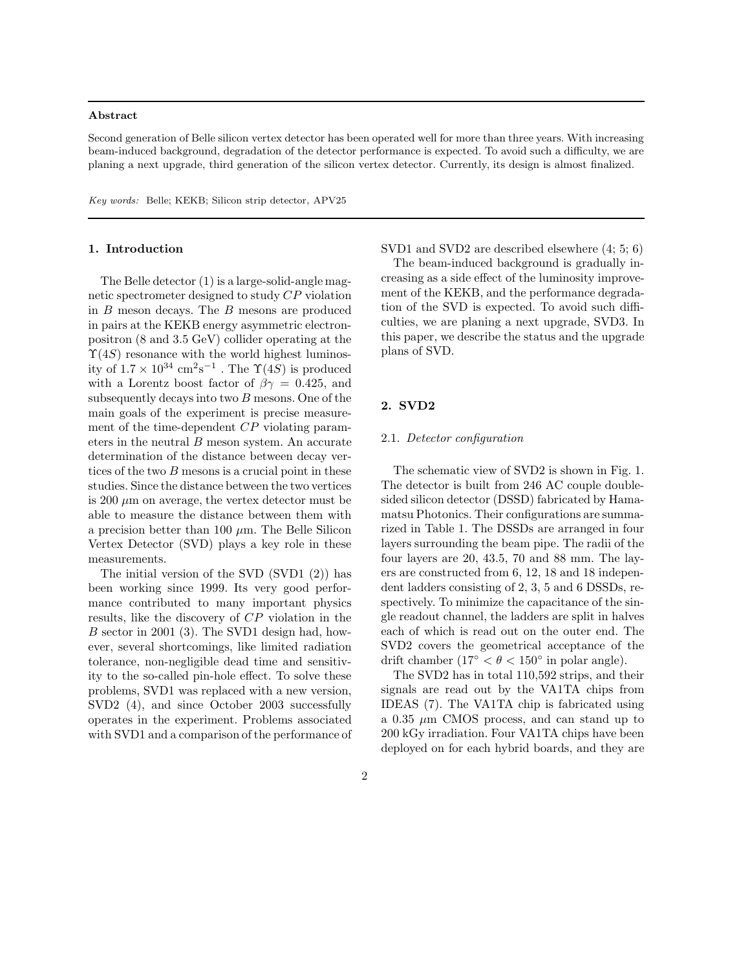#### Abstract

Second generation of Belle silicon vertex detector has been operated well for more than three years. With increasing beam-induced background, degradation of the detector performance is expected. To avoid such a difficulty, we are planing a next upgrade, third generation of the silicon vertex detector. Currently, its design is almost finalized.

Key words: Belle; KEKB; Silicon strip detector, APV25

### 1. Introduction

The Belle detector (1) is a large-solid-angle magnetic spectrometer designed to study CP violation in  $B$  meson decays. The  $B$  mesons are produced in pairs at the KEKB energy asymmetric electronpositron (8 and 3.5 GeV) collider operating at the  $\Upsilon(4S)$  resonance with the world highest luminosity of  $1.7 \times 10^{34} \text{ cm}^2 \text{s}^{-1}$ . The  $\Upsilon(4S)$  is produced with a Lorentz boost factor of  $\beta\gamma = 0.425$ , and subsequently decays into two  $B$  mesons. One of the main goals of the experiment is precise measurement of the time-dependent CP violating parameters in the neutral B meson system. An accurate determination of the distance between decay vertices of the two B mesons is a crucial point in these studies. Since the distance between the two vertices is 200  $\mu$ m on average, the vertex detector must be able to measure the distance between them with a precision better than 100  $\mu$ m. The Belle Silicon Vertex Detector (SVD) plays a key role in these measurements.

The initial version of the SVD (SVD1 (2)) has been working since 1999. Its very good performance contributed to many important physics results, like the discovery of CP violation in the B sector in 2001 (3). The SVD1 design had, however, several shortcomings, like limited radiation tolerance, non-negligible dead time and sensitivity to the so-called pin-hole effect. To solve these problems, SVD1 was replaced with a new version, SVD2 (4), and since October 2003 successfully operates in the experiment. Problems associated with SVD1 and a comparison of the performance of SVD1 and SVD2 are described elsewhere (4; 5; 6)

The beam-induced background is gradually increasing as a side effect of the luminosity improvement of the KEKB, and the performance degradation of the SVD is expected. To avoid such difficulties, we are planing a next upgrade, SVD3. In this paper, we describe the status and the upgrade plans of SVD.

### 2. SVD2

#### 2.1. Detector configuration

The schematic view of SVD2 is shown in Fig. 1. The detector is built from 246 AC couple doublesided silicon detector (DSSD) fabricated by Hamamatsu Photonics. Their configurations are summarized in Table 1. The DSSDs are arranged in four layers surrounding the beam pipe. The radii of the four layers are 20, 43.5, 70 and 88 mm. The layers are constructed from 6, 12, 18 and 18 independent ladders consisting of 2, 3, 5 and 6 DSSDs, respectively. To minimize the capacitance of the single readout channel, the ladders are split in halves each of which is read out on the outer end. The SVD2 covers the geometrical acceptance of the drift chamber  $(17^{\circ} < \theta < 150^{\circ}$  in polar angle).

The SVD2 has in total 110,592 strips, and their signals are read out by the VA1TA chips from IDEAS (7). The VA1TA chip is fabricated using a  $0.35 \mu m$  CMOS process, and can stand up to 200 kGy irradiation. Four VA1TA chips have been deployed on for each hybrid boards, and they are

2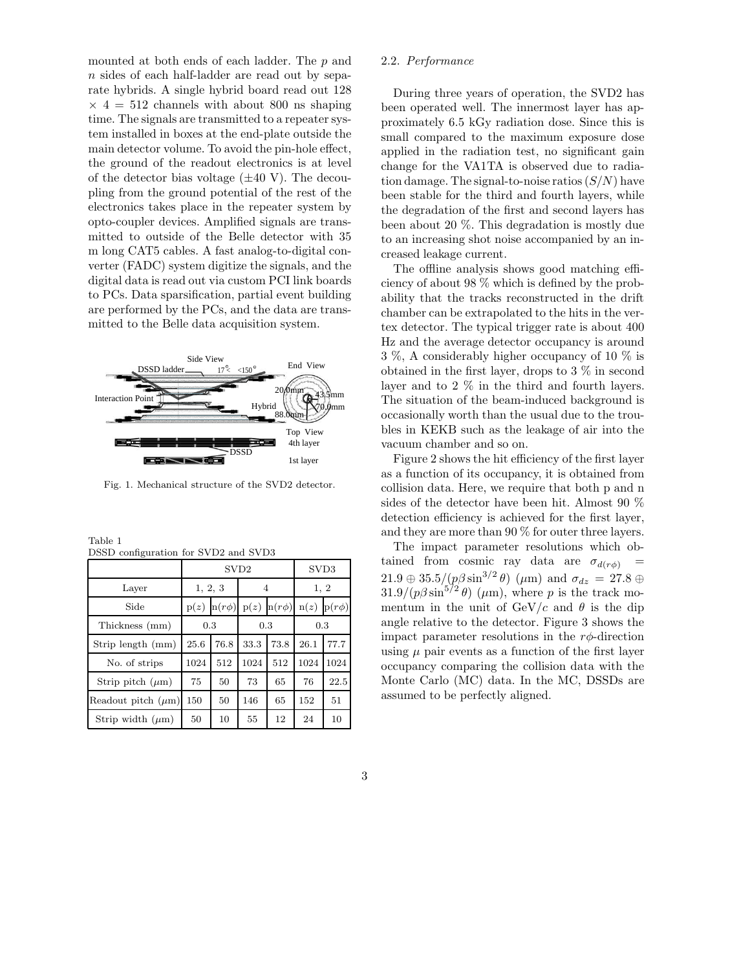mounted at both ends of each ladder. The p and n sides of each half-ladder are read out by separate hybrids. A single hybrid board read out 128  $\times$  4 = 512 channels with about 800 ns shaping time. The signals are transmitted to a repeater system installed in boxes at the end-plate outside the main detector volume. To avoid the pin-hole effect, the ground of the readout electronics is at level of the detector bias voltage  $(\pm 40 \text{ V})$ . The decoupling from the ground potential of the rest of the electronics takes place in the repeater system by opto-coupler devices. Amplified signals are transmitted to outside of the Belle detector with 35 m long CAT5 cables. A fast analog-to-digital converter (FADC) system digitize the signals, and the digital data is read out via custom PCI link boards to PCs. Data sparsification, partial event building are performed by the PCs, and the data are transmitted to the Belle data acquisition system.



Fig. 1. Mechanical structure of the SVD2 detector.

| Table 1 |                                      |  |  |
|---------|--------------------------------------|--|--|
|         | DSSD configuration for SVD2 and SVD3 |  |  |

|                         | SV <sub>D</sub> 2 |            |      |            | SVD3 |            |
|-------------------------|-------------------|------------|------|------------|------|------------|
| Layer                   | 1, 2, 3           |            | 4    |            | 1, 2 |            |
| Side                    | p(z)              | $n(r\phi)$ | p(z) | $n(r\phi)$ | n(z) | $p(r\phi)$ |
| Thickness (mm)          | 0.3               |            | 0.3  |            | 0.3  |            |
| Strip length (mm)       | 25.6              | 76.8       | 33.3 | 73.8       | 26.1 | 77.7       |
| No. of strips           | 1024              | 512        | 1024 | 512        | 1024 | 1024       |
| Strip pitch $(\mu m)$   | 75                | 50         | 73   | 65         | 76   | 22.5       |
| Readout pitch $(\mu m)$ | 150               | 50         | 146  | 65         | 152  | 51         |
| Strip width $(\mu m)$   | 50                | 10         | 55   | 12         | 24   | 10         |

### 2.2. Performance

During three years of operation, the SVD2 has been operated well. The innermost layer has approximately 6.5 kGy radiation dose. Since this is small compared to the maximum exposure dose applied in the radiation test, no significant gain change for the VA1TA is observed due to radiation damage. The signal-to-noise ratios  $(S/N)$  have been stable for the third and fourth layers, while the degradation of the first and second layers has been about 20 %. This degradation is mostly due to an increasing shot noise accompanied by an increased leakage current.

The offline analysis shows good matching efficiency of about 98 % which is defined by the probability that the tracks reconstructed in the drift chamber can be extrapolated to the hits in the vertex detector. The typical trigger rate is about 400 Hz and the average detector occupancy is around 3 %, A considerably higher occupancy of 10 % is obtained in the first layer, drops to 3 % in second layer and to 2 % in the third and fourth layers. The situation of the beam-induced background is occasionally worth than the usual due to the troubles in KEKB such as the leakage of air into the vacuum chamber and so on.

Figure 2 shows the hit efficiency of the first layer as a function of its occupancy, it is obtained from collision data. Here, we require that both p and n sides of the detector have been hit. Almost 90 % detection efficiency is achieved for the first layer, and they are more than 90 % for outer three layers.

The impact parameter resolutions which obtained from cosmic ray data are  $\sigma_{d(r\phi)}$  $21.9 \oplus 35.5/(p\beta\sin^{3/2}\theta)$  ( $\mu$ m) and  $\sigma_{dz} = 27.8 \oplus$  $31.9/(p\beta\sin^{5/2}\theta)$  ( $\mu$ m), where p is the track momentum in the unit of  $GeV/c$  and  $\theta$  is the dip angle relative to the detector. Figure 3 shows the impact parameter resolutions in the  $r\phi$ -direction using  $\mu$  pair events as a function of the first layer occupancy comparing the collision data with the Monte Carlo (MC) data. In the MC, DSSDs are assumed to be perfectly aligned.

3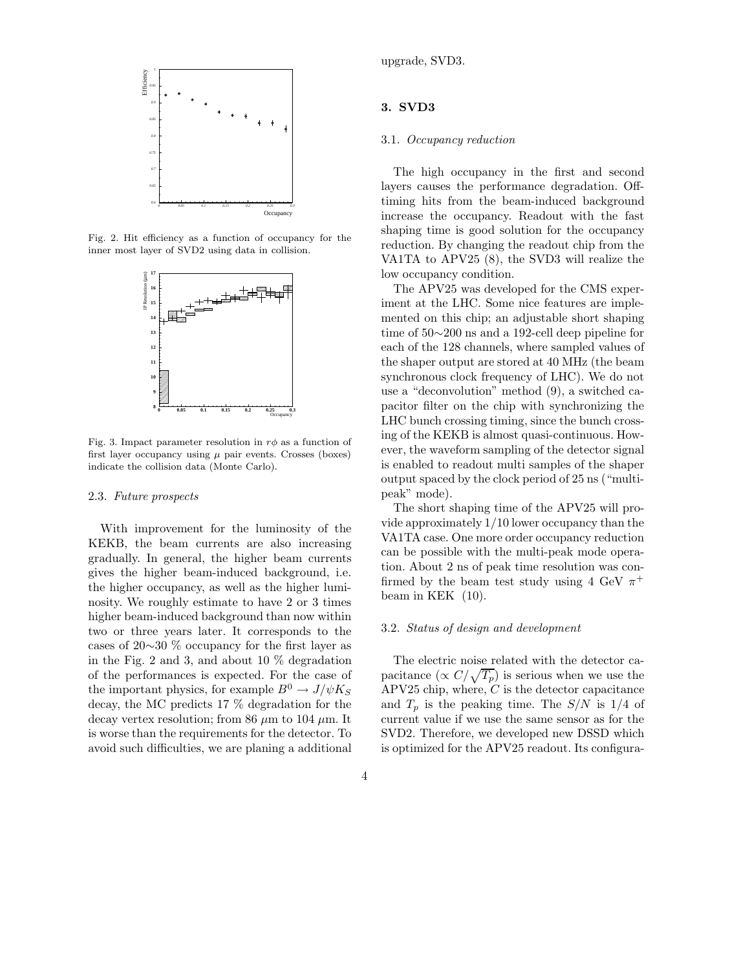

Fig. 2. Hit efficiency as a function of occupancy for the inner most layer of SVD2 using data in collision.



Fig. 3. Impact parameter resolution in  $r\phi$  as a function of first layer occupancy using  $\mu$  pair events. Crosses (boxes) indicate the collision data (Monte Carlo).

### 2.3. Future prospects

With improvement for the luminosity of the KEKB, the beam currents are also increasing gradually. In general, the higher beam currents gives the higher beam-induced background, i.e. the higher occupancy, as well as the higher luminosity. We roughly estimate to have 2 or 3 times higher beam-induced background than now within two or three years later. It corresponds to the cases of 20∼30 % occupancy for the first layer as in the Fig. 2 and 3, and about 10 % degradation of the performances is expected. For the case of the important physics, for example  $B^0 \to J/\psi K_S$ decay, the MC predicts 17 % degradation for the decay vertex resolution; from 86  $\mu$ m to 104  $\mu$ m. It is worse than the requirements for the detector. To avoid such difficulties, we are planing a additional upgrade, SVD3.

## 3. SVD3

### 3.1. Occupancy reduction

The high occupancy in the first and second layers causes the performance degradation. Offtiming hits from the beam-induced background increase the occupancy. Readout with the fast shaping time is good solution for the occupancy reduction. By changing the readout chip from the VA1TA to APV25 (8), the SVD3 will realize the low occupancy condition.

The APV25 was developed for the CMS experiment at the LHC. Some nice features are implemented on this chip; an adjustable short shaping time of 50∼200 ns and a 192-cell deep pipeline for each of the 128 channels, where sampled values of the shaper output are stored at 40 MHz (the beam synchronous clock frequency of LHC). We do not use a "deconvolution" method (9), a switched capacitor filter on the chip with synchronizing the LHC bunch crossing timing, since the bunch crossing of the KEKB is almost quasi-continuous. However, the waveform sampling of the detector signal is enabled to readout multi samples of the shaper output spaced by the clock period of 25 ns ("multipeak" mode).

The short shaping time of the APV25 will provide approximately 1/10 lower occupancy than the VA1TA case. One more order occupancy reduction can be possible with the multi-peak mode operation. About 2 ns of peak time resolution was confirmed by the beam test study using 4 GeV  $\pi^+$ beam in KEK (10).

### 3.2. Status of design and development

The electric noise related with the detector capacitance  $(\propto C/\sqrt{T_p})$  is serious when we use the  $APV25$  chip, where,  $C$  is the detector capacitance and  $T_p$  is the peaking time. The  $S/N$  is 1/4 of current value if we use the same sensor as for the SVD2. Therefore, we developed new DSSD which is optimized for the APV25 readout. Its configura-

4